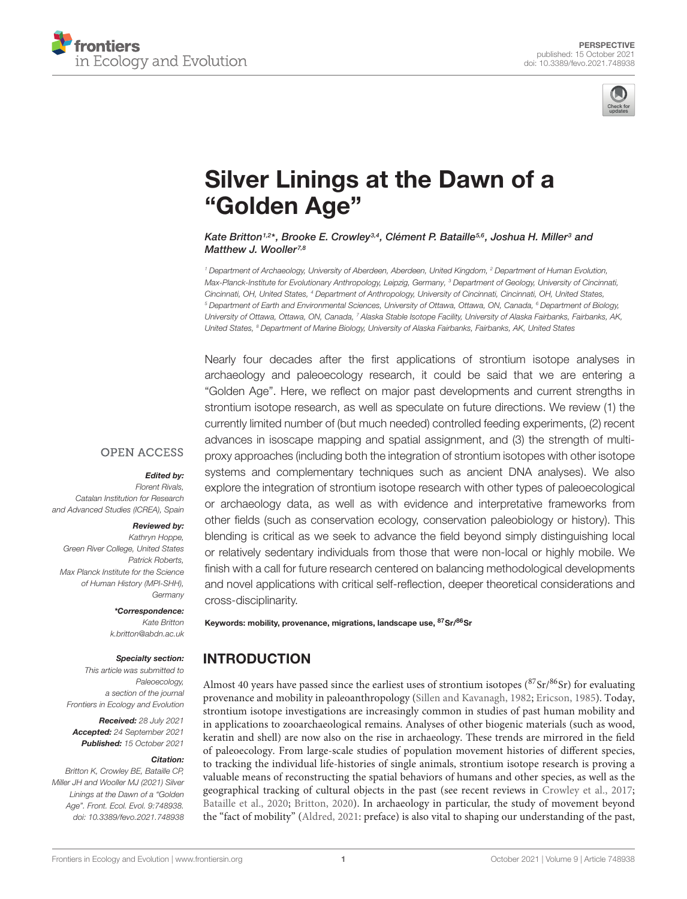



# [Silver Linings at the Dawn of a](https://www.frontiersin.org/articles/10.3389/fevo.2021.748938/full) "Golden Age"

Kate Britton1,2\*, Brooke E. Crowley3,4, Clément P. Bataille<sup>5,6</sup>, Joshua H. Miller<sup>3</sup> and Matthew J. Wooller<sup>7,8</sup>

<sup>1</sup> Department of Archaeology, University of Aberdeen, Aberdeen, United Kingdom, <sup>2</sup> Department of Human Evolution, Max-Planck-Institute for Evolutionary Anthropology, Leipzig, Germany, <sup>3</sup> Department of Geology, University of Cincinnati, Cincinnati, OH, United States, <sup>4</sup> Department of Anthropology, University of Cincinnati, Cincinnati, OH, United States, <sup>5</sup> Department of Earth and Environmental Sciences, University of Ottawa, Ottawa, ON, Canada, <sup>6</sup> Department of Biology, University of Ottawa, Ottawa, ON, Canada, <sup>7</sup> Alaska Stable Isotope Facility, University of Alaska Fairbanks, Fairbanks, AK, United States, <sup>8</sup> Department of Marine Biology, University of Alaska Fairbanks, Fairbanks, AK, United States

Nearly four decades after the first applications of strontium isotope analyses in archaeology and paleoecology research, it could be said that we are entering a "Golden Age". Here, we reflect on major past developments and current strengths in strontium isotope research, as well as speculate on future directions. We review (1) the currently limited number of (but much needed) controlled feeding experiments, (2) recent advances in isoscape mapping and spatial assignment, and (3) the strength of multiproxy approaches (including both the integration of strontium isotopes with other isotope systems and complementary techniques such as ancient DNA analyses). We also explore the integration of strontium isotope research with other types of paleoecological or archaeology data, as well as with evidence and interpretative frameworks from other fields (such as conservation ecology, conservation paleobiology or history). This blending is critical as we seek to advance the field beyond simply distinguishing local or relatively sedentary individuals from those that were non-local or highly mobile. We finish with a call for future research centered on balancing methodological developments and novel applications with critical self-reflection, deeper theoretical considerations and cross-disciplinarity.

#### **OPEN ACCESS**

#### Edited by:

Florent Rivals, Catalan Institution for Research and Advanced Studies (ICREA), Spain

#### Reviewed by:

Kathryn Honne Green River College, United States Patrick Roberts, Max Planck Institute for the Science of Human History (MPI-SHH), **Germany** 

#### \*Correspondence:

Kate Britton k.britton@abdn.ac.uk

#### Specialty section:

This article was submitted to Paleoecology, a section of the journal Frontiers in Ecology and Evolution

Received: 28 July 2021 Accepted: 24 September 2021 Published: 15 October 2021

#### Citation:

Britton K, Crowley BE, Bataille CP, Miller JH and Wooller MJ (2021) Silver Linings at the Dawn of a "Golden Age". Front. Ecol. Evol. 9:748938. doi: [10.3389/fevo.2021.748938](https://doi.org/10.3389/fevo.2021.748938)

Keywords: mobility, provenance, migrations, landscape use, 87Sr/86Sr

#### **INTRODUCTION**

Almost 40 years have passed since the earliest uses of strontium isotopes  $({}^{87}Sr/{}^{86}Sr)$  for evaluating provenance and mobility in paleoanthropology [\(Sillen and Kavanagh,](#page-5-0) [1982;](#page-5-0) [Ericson,](#page-4-0) [1985\)](#page-4-0). Today, strontium isotope investigations are increasingly common in studies of past human mobility and in applications to zooarchaeological remains. Analyses of other biogenic materials (such as wood, keratin and shell) are now also on the rise in archaeology. These trends are mirrored in the field of paleoecology. From large-scale studies of population movement histories of different species, to tracking the individual life-histories of single animals, strontium isotope research is proving a valuable means of reconstructing the spatial behaviors of humans and other species, as well as the geographical tracking of cultural objects in the past (see recent reviews in [Crowley et al.,](#page-4-1) [2017;](#page-4-1) [Bataille et al.,](#page-4-2) [2020;](#page-4-2) [Britton,](#page-4-3) [2020\)](#page-4-3). In archaeology in particular, the study of movement beyond the "fact of mobility" [\(Aldred,](#page-4-4) [2021:](#page-4-4) preface) is also vital to shaping our understanding of the past,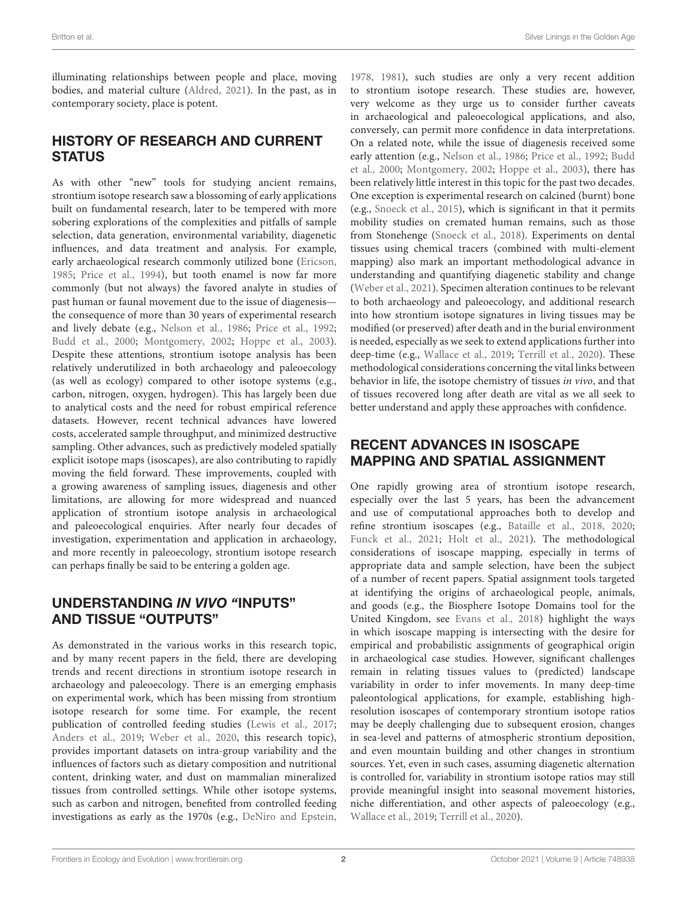illuminating relationships between people and place, moving bodies, and material culture [\(Aldred,](#page-4-4) [2021\)](#page-4-4). In the past, as in contemporary society, place is potent.

### HISTORY OF RESEARCH AND CURRENT **STATUS**

As with other "new" tools for studying ancient remains, strontium isotope research saw a blossoming of early applications built on fundamental research, later to be tempered with more sobering explorations of the complexities and pitfalls of sample selection, data generation, environmental variability, diagenetic influences, and data treatment and analysis. For example, early archaeological research commonly utilized bone [\(Ericson,](#page-4-0) [1985;](#page-4-0) [Price et al.,](#page-5-1) [1994\)](#page-5-1), but tooth enamel is now far more commonly (but not always) the favored analyte in studies of past human or faunal movement due to the issue of diagenesis the consequence of more than 30 years of experimental research and lively debate (e.g., [Nelson et al.,](#page-5-2) [1986;](#page-5-2) [Price et al.,](#page-5-3) [1992;](#page-5-3) [Budd et al.,](#page-4-5) [2000;](#page-4-5) [Montgomery,](#page-5-4) [2002;](#page-5-4) [Hoppe et al.,](#page-4-6) [2003\)](#page-4-6). Despite these attentions, strontium isotope analysis has been relatively underutilized in both archaeology and paleoecology (as well as ecology) compared to other isotope systems (e.g., carbon, nitrogen, oxygen, hydrogen). This has largely been due to analytical costs and the need for robust empirical reference datasets. However, recent technical advances have lowered costs, accelerated sample throughput, and minimized destructive sampling. Other advances, such as predictively modeled spatially explicit isotope maps (isoscapes), are also contributing to rapidly moving the field forward. These improvements, coupled with a growing awareness of sampling issues, diagenesis and other limitations, are allowing for more widespread and nuanced application of strontium isotope analysis in archaeological and paleoecological enquiries. After nearly four decades of investigation, experimentation and application in archaeology, and more recently in paleoecology, strontium isotope research can perhaps finally be said to be entering a golden age.

### UNDERSTANDING IN VIVO "INPUTS" AND TISSUE "OUTPUTS"

As demonstrated in the various works in this research topic, and by many recent papers in the field, there are developing trends and recent directions in strontium isotope research in archaeology and paleoecology. There is an emerging emphasis on experimental work, which has been missing from strontium isotope research for some time. For example, the recent publication of controlled feeding studies [\(Lewis et al.,](#page-4-7) [2017;](#page-4-7) [Anders et al.,](#page-4-8) [2019;](#page-4-8) [Weber et al.,](#page-5-5) [2020,](#page-5-5) this research topic), provides important datasets on intra-group variability and the influences of factors such as dietary composition and nutritional content, drinking water, and dust on mammalian mineralized tissues from controlled settings. While other isotope systems, such as carbon and nitrogen, benefited from controlled feeding investigations as early as the 1970s (e.g., [DeNiro and Epstein,](#page-4-9)

[1978,](#page-4-9) [1981\)](#page-4-10), such studies are only a very recent addition to strontium isotope research. These studies are, however, very welcome as they urge us to consider further caveats in archaeological and paleoecological applications, and also, conversely, can permit more confidence in data interpretations. On a related note, while the issue of diagenesis received some early attention (e.g., [Nelson et al.,](#page-5-2) [1986;](#page-5-2) [Price et al.,](#page-5-3) [1992;](#page-5-3) [Budd](#page-4-5) [et al.,](#page-4-5) [2000;](#page-4-5) [Montgomery,](#page-5-4) [2002;](#page-5-4) [Hoppe et al.,](#page-4-6) [2003\)](#page-4-6), there has been relatively little interest in this topic for the past two decades. One exception is experimental research on calcined (burnt) bone (e.g., [Snoeck et al.,](#page-5-6) [2015\)](#page-5-6), which is significant in that it permits mobility studies on cremated human remains, such as those from Stonehenge [\(Snoeck et al.,](#page-5-7) [2018\)](#page-5-7). Experiments on dental tissues using chemical tracers (combined with multi-element mapping) also mark an important methodological advance in understanding and quantifying diagenetic stability and change [\(Weber et al.,](#page-5-8) [2021\)](#page-5-8). Specimen alteration continues to be relevant to both archaeology and paleoecology, and additional research into how strontium isotope signatures in living tissues may be modified (or preserved) after death and in the burial environment is needed, especially as we seek to extend applications further into deep-time (e.g., [Wallace et al.,](#page-5-9) [2019;](#page-5-9) [Terrill et al.,](#page-5-10) [2020\)](#page-5-10). These methodological considerations concerning the vital links between behavior in life, the isotope chemistry of tissues in vivo, and that of tissues recovered long after death are vital as we all seek to better understand and apply these approaches with confidence.

## RECENT ADVANCES IN ISOSCAPE MAPPING AND SPATIAL ASSIGNMENT

One rapidly growing area of strontium isotope research, especially over the last 5 years, has been the advancement and use of computational approaches both to develop and refine strontium isoscapes (e.g., [Bataille et al.,](#page-4-11) [2018,](#page-4-11) [2020;](#page-4-2) [Funck et al.,](#page-4-12) [2021;](#page-4-12) [Holt et al.,](#page-4-13) [2021\)](#page-4-13). The methodological considerations of isoscape mapping, especially in terms of appropriate data and sample selection, have been the subject of a number of recent papers. Spatial assignment tools targeted at identifying the origins of archaeological people, animals, and goods (e.g., the Biosphere Isotope Domains tool for the United Kingdom, see [Evans et al.,](#page-4-14) [2018\)](#page-4-14) highlight the ways in which isoscape mapping is intersecting with the desire for empirical and probabilistic assignments of geographical origin in archaeological case studies. However, significant challenges remain in relating tissues values to (predicted) landscape variability in order to infer movements. In many deep-time paleontological applications, for example, establishing highresolution isoscapes of contemporary strontium isotope ratios may be deeply challenging due to subsequent erosion, changes in sea-level and patterns of atmospheric strontium deposition, and even mountain building and other changes in strontium sources. Yet, even in such cases, assuming diagenetic alternation is controlled for, variability in strontium isotope ratios may still provide meaningful insight into seasonal movement histories, niche differentiation, and other aspects of paleoecology (e.g., [Wallace et al.,](#page-5-9) [2019;](#page-5-9) [Terrill et al.,](#page-5-10) [2020\)](#page-5-10).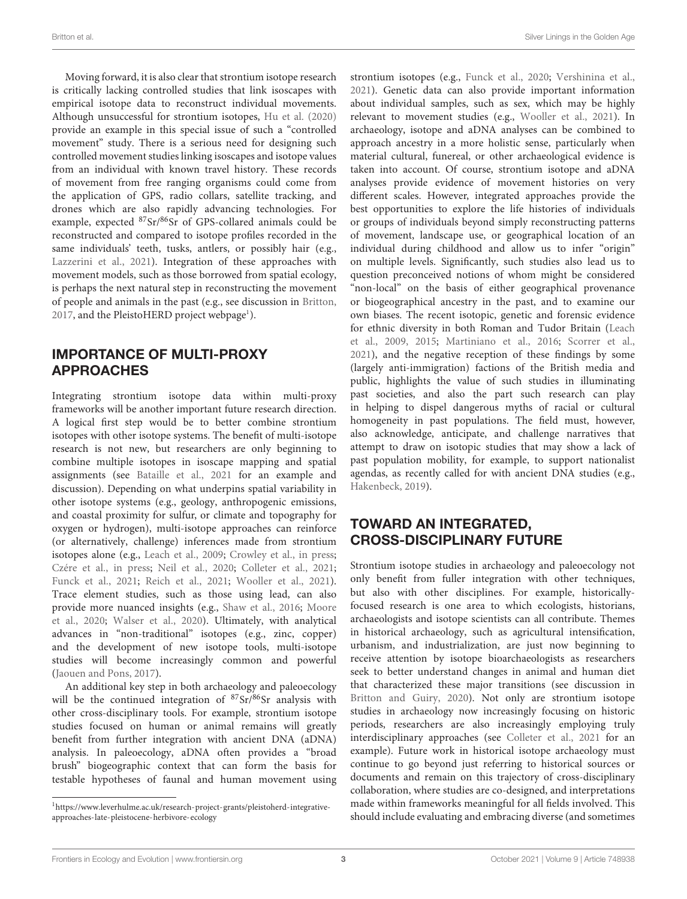Moving forward, it is also clear that strontium isotope research is critically lacking controlled studies that link isoscapes with empirical isotope data to reconstruct individual movements. Although unsuccessful for strontium isotopes, [Hu et al.](#page-4-15) [\(2020\)](#page-4-15) provide an example in this special issue of such a "controlled movement" study. There is a serious need for designing such controlled movement studies linking isoscapes and isotope values from an individual with known travel history. These records of movement from free ranging organisms could come from the application of GPS, radio collars, satellite tracking, and drones which are also rapidly advancing technologies. For example, expected <sup>87</sup>Sr/86Sr of GPS-collared animals could be reconstructed and compared to isotope profiles recorded in the same individuals' teeth, tusks, antlers, or possibly hair (e.g., [Lazzerini et al.,](#page-4-16) [2021\)](#page-4-16). Integration of these approaches with movement models, such as those borrowed from spatial ecology, is perhaps the next natural step in reconstructing the movement of people and animals in the past (e.g., see discussion in [Britton,](#page-4-17) [2017,](#page-4-17) and the PleistoHERD project webpage<sup>[1](#page-2-0)</sup>).

### IMPORTANCE OF MULTI-PROXY APPROACHES

Integrating strontium isotope data within multi-proxy frameworks will be another important future research direction. A logical first step would be to better combine strontium isotopes with other isotope systems. The benefit of multi-isotope research is not new, but researchers are only beginning to combine multiple isotopes in isoscape mapping and spatial assignments (see [Bataille et al.,](#page-4-18) [2021](#page-4-18) for an example and discussion). Depending on what underpins spatial variability in other isotope systems (e.g., geology, anthropogenic emissions, and coastal proximity for sulfur, or climate and topography for oxygen or hydrogen), multi-isotope approaches can reinforce (or alternatively, challenge) inferences made from strontium isotopes alone (e.g., [Leach et al.,](#page-4-19) [2009;](#page-4-19) [Crowley et al.,](#page-4-20) [in press;](#page-4-20) [Czére et al.,](#page-4-21) [in press;](#page-4-21) [Neil et al.,](#page-5-11) [2020;](#page-5-11) [Colleter et al.,](#page-4-22) [2021;](#page-4-22) [Funck et al.,](#page-4-12) [2021;](#page-4-12) [Reich et al.,](#page-5-12) [2021;](#page-5-12) [Wooller et al.,](#page-5-13) [2021\)](#page-5-13). Trace element studies, such as those using lead, can also provide more nuanced insights (e.g., [Shaw et al.,](#page-5-14) [2016;](#page-5-14) [Moore](#page-5-15) [et al.,](#page-5-15) [2020;](#page-5-15) [Walser et al.,](#page-5-16) [2020\)](#page-5-16). Ultimately, with analytical advances in "non-traditional" isotopes (e.g., zinc, copper) and the development of new isotope tools, multi-isotope studies will become increasingly common and powerful [\(Jaouen and Pons,](#page-4-23) [2017\)](#page-4-23).

An additional key step in both archaeology and paleoecology will be the continued integration of  $87\text{Sr}/86\text{Sr}$  analysis with other cross-disciplinary tools. For example, strontium isotope studies focused on human or animal remains will greatly benefit from further integration with ancient DNA (aDNA) analysis. In paleoecology, aDNA often provides a "broad brush" biogeographic context that can form the basis for testable hypotheses of faunal and human movement using strontium isotopes (e.g., [Funck et al.,](#page-4-24) [2020;](#page-4-24) [Vershinina et al.,](#page-5-17) [2021\)](#page-5-17). Genetic data can also provide important information about individual samples, such as sex, which may be highly relevant to movement studies (e.g., [Wooller et al.,](#page-5-13) [2021\)](#page-5-13). In archaeology, isotope and aDNA analyses can be combined to approach ancestry in a more holistic sense, particularly when material cultural, funereal, or other archaeological evidence is taken into account. Of course, strontium isotope and aDNA analyses provide evidence of movement histories on very different scales. However, integrated approaches provide the best opportunities to explore the life histories of individuals or groups of individuals beyond simply reconstructing patterns of movement, landscape use, or geographical location of an individual during childhood and allow us to infer "origin" on multiple levels. Significantly, such studies also lead us to question preconceived notions of whom might be considered "non-local" on the basis of either geographical provenance or biogeographical ancestry in the past, and to examine our own biases. The recent isotopic, genetic and forensic evidence for ethnic diversity in both Roman and Tudor Britain [\(Leach](#page-4-19) [et al.,](#page-4-19) [2009,](#page-4-19) [2015;](#page-4-25) [Martiniano et al.,](#page-5-18) [2016;](#page-5-18) [Scorrer et al.,](#page-5-19) [2021\)](#page-5-19), and the negative reception of these findings by some (largely anti-immigration) factions of the British media and public, highlights the value of such studies in illuminating past societies, and also the part such research can play in helping to dispel dangerous myths of racial or cultural homogeneity in past populations. The field must, however, also acknowledge, anticipate, and challenge narratives that attempt to draw on isotopic studies that may show a lack of past population mobility, for example, to support nationalist agendas, as recently called for with ancient DNA studies (e.g., [Hakenbeck,](#page-4-26) [2019\)](#page-4-26).

### TOWARD AN INTEGRATED, CROSS-DISCIPLINARY FUTURE

Strontium isotope studies in archaeology and paleoecology not only benefit from fuller integration with other techniques, but also with other disciplines. For example, historicallyfocused research is one area to which ecologists, historians, archaeologists and isotope scientists can all contribute. Themes in historical archaeology, such as agricultural intensification, urbanism, and industrialization, are just now beginning to receive attention by isotope bioarchaeologists as researchers seek to better understand changes in animal and human diet that characterized these major transitions (see discussion in [Britton and Guiry,](#page-4-27) [2020\)](#page-4-27). Not only are strontium isotope studies in archaeology now increasingly focusing on historic periods, researchers are also increasingly employing truly interdisciplinary approaches (see [Colleter et al.,](#page-4-22) [2021](#page-4-22) for an example). Future work in historical isotope archaeology must continue to go beyond just referring to historical sources or documents and remain on this trajectory of cross-disciplinary collaboration, where studies are co-designed, and interpretations made within frameworks meaningful for all fields involved. This should include evaluating and embracing diverse (and sometimes

<span id="page-2-0"></span><sup>1</sup>[https://www.leverhulme.ac.uk/research-project-grants/pleistoherd-integrative](https://www.leverhulme.ac.uk/research-project-grants/pleistoherd-integrative-approaches-late-pleistocene-herbivore-ecology)[approaches-late-pleistocene-herbivore-ecology](https://www.leverhulme.ac.uk/research-project-grants/pleistoherd-integrative-approaches-late-pleistocene-herbivore-ecology)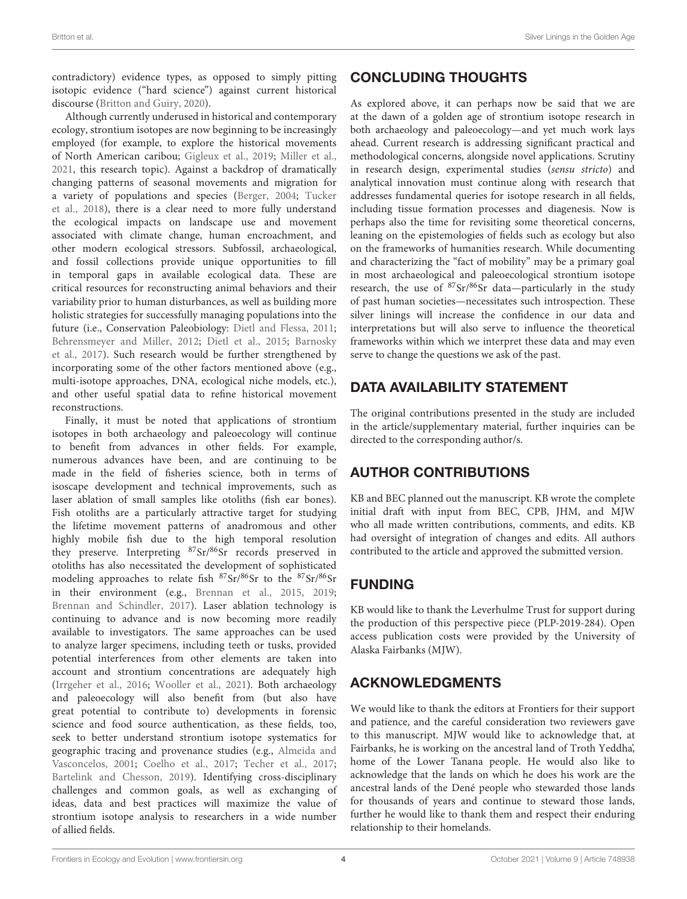contradictory) evidence types, as opposed to simply pitting isotopic evidence ("hard science") against current historical discourse [\(Britton and Guiry,](#page-4-27) [2020\)](#page-4-27).

Although currently underused in historical and contemporary ecology, strontium isotopes are now beginning to be increasingly employed (for example, to explore the historical movements of North American caribou; [Gigleux et al.,](#page-4-28) [2019;](#page-4-28) [Miller et al.,](#page-5-20) [2021,](#page-5-20) this research topic). Against a backdrop of dramatically changing patterns of seasonal movements and migration for a variety of populations and species [\(Berger,](#page-4-29) [2004;](#page-4-29) [Tucker](#page-5-21) [et al.,](#page-5-21) [2018\)](#page-5-21), there is a clear need to more fully understand the ecological impacts on landscape use and movement associated with climate change, human encroachment, and other modern ecological stressors. Subfossil, archaeological, and fossil collections provide unique opportunities to fill in temporal gaps in available ecological data. These are critical resources for reconstructing animal behaviors and their variability prior to human disturbances, as well as building more holistic strategies for successfully managing populations into the future (i.e., Conservation Paleobiology: [Dietl and Flessa,](#page-4-30) [2011;](#page-4-30) [Behrensmeyer and Miller,](#page-4-31) [2012;](#page-4-31) [Dietl et al.,](#page-4-32) [2015;](#page-4-32) [Barnosky](#page-4-33) [et al.,](#page-4-33) [2017\)](#page-4-33). Such research would be further strengthened by incorporating some of the other factors mentioned above (e.g., multi-isotope approaches, DNA, ecological niche models, etc.), and other useful spatial data to refine historical movement reconstructions.

Finally, it must be noted that applications of strontium isotopes in both archaeology and paleoecology will continue to benefit from advances in other fields. For example, numerous advances have been, and are continuing to be made in the field of fisheries science, both in terms of isoscape development and technical improvements, such as laser ablation of small samples like otoliths (fish ear bones). Fish otoliths are a particularly attractive target for studying the lifetime movement patterns of anadromous and other highly mobile fish due to the high temporal resolution they preserve. Interpreting <sup>87</sup>Sr/86Sr records preserved in otoliths has also necessitated the development of sophisticated modeling approaches to relate fish <sup>87</sup>Sr/86Sr to the <sup>87</sup>Sr/86Sr in their environment (e.g., [Brennan et al.,](#page-4-34) [2015,](#page-4-34) [2019;](#page-4-35) [Brennan and Schindler,](#page-4-36) [2017\)](#page-4-36). Laser ablation technology is continuing to advance and is now becoming more readily available to investigators. The same approaches can be used to analyze larger specimens, including teeth or tusks, provided potential interferences from other elements are taken into account and strontium concentrations are adequately high [\(Irrgeher et al.,](#page-4-37) [2016;](#page-4-37) [Wooller et al.,](#page-5-13) [2021\)](#page-5-13). Both archaeology and paleoecology will also benefit from (but also have great potential to contribute to) developments in forensic science and food source authentication, as these fields, too, seek to better understand strontium isotope systematics for geographic tracing and provenance studies (e.g., [Almeida and](#page-4-38) [Vasconcelos,](#page-4-38) [2001;](#page-4-38) [Coelho et al.,](#page-4-39) [2017;](#page-4-39) [Techer et al.,](#page-5-22) [2017;](#page-5-22) [Bartelink and Chesson,](#page-4-40) [2019\)](#page-4-40). Identifying cross-disciplinary challenges and common goals, as well as exchanging of ideas, data and best practices will maximize the value of strontium isotope analysis to researchers in a wide number of allied fields.

As explored above, it can perhaps now be said that we are at the dawn of a golden age of strontium isotope research in both archaeology and paleoecology—and yet much work lays ahead. Current research is addressing significant practical and methodological concerns, alongside novel applications. Scrutiny in research design, experimental studies (sensu stricto) and analytical innovation must continue along with research that addresses fundamental queries for isotope research in all fields, including tissue formation processes and diagenesis. Now is perhaps also the time for revisiting some theoretical concerns, leaning on the epistemologies of fields such as ecology but also on the frameworks of humanities research. While documenting and characterizing the "fact of mobility" may be a primary goal in most archaeological and paleoecological strontium isotope research, the use of  $87Sr/86Sr$  data—particularly in the study of past human societies—necessitates such introspection. These silver linings will increase the confidence in our data and interpretations but will also serve to influence the theoretical frameworks within which we interpret these data and may even serve to change the questions we ask of the past.

### DATA AVAILABILITY STATEMENT

The original contributions presented in the study are included in the article/supplementary material, further inquiries can be directed to the corresponding author/s.

### AUTHOR CONTRIBUTIONS

KB and BEC planned out the manuscript. KB wrote the complete initial draft with input from BEC, CPB, JHM, and MJW who all made written contributions, comments, and edits. KB had oversight of integration of changes and edits. All authors contributed to the article and approved the submitted version.

# FUNDING

KB would like to thank the Leverhulme Trust for support during the production of this perspective piece (PLP-2019-284). Open access publication costs were provided by the University of Alaska Fairbanks (MJW).

# ACKNOWLEDGMENTS

We would like to thank the editors at Frontiers for their support and patience, and the careful consideration two reviewers gave to this manuscript. MJW would like to acknowledge that, at Fairbanks, he is working on the ancestral land of Troth Yeddha', home of the Lower Tanana people. He would also like to acknowledge that the lands on which he does his work are the ancestral lands of the Dené people who stewarded those lands for thousands of years and continue to steward those lands, further he would like to thank them and respect their enduring relationship to their homelands.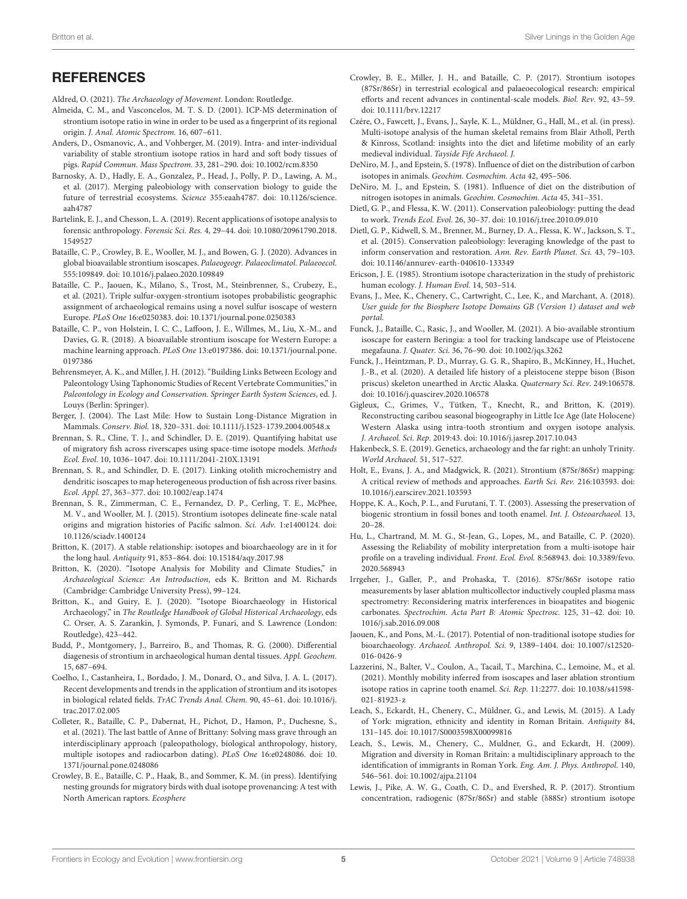#### **REFERENCES**

<span id="page-4-4"></span>Aldred, O. (2021). The Archaeology of Movement. London: Routledge.

- <span id="page-4-38"></span>Almeida, C. M., and Vasconcelos, M. T. S. D. (2001). ICP-MS determination of strontium isotope ratio in wine in order to be used as a fingerprint of its regional origin. J. Anal. Atomic Spectrom. 16, 607–611.
- <span id="page-4-8"></span>Anders, D., Osmanovic, A., and Vohberger, M. (2019). Intra- and inter-individual variability of stable strontium isotope ratios in hard and soft body tissues of pigs. Rapid Commun. Mass Spectrom. 33, 281–290. [doi: 10.1002/rcm.8350](https://doi.org/10.1002/rcm.8350)
- <span id="page-4-33"></span>Barnosky, A. D., Hadly, E. A., Gonzalez, P., Head, J., Polly, P. D., Lawing, A. M., et al. (2017). Merging paleobiology with conservation biology to guide the future of terrestrial ecosystems. Science 355:eaah4787. [doi: 10.1126/science.](https://doi.org/10.1126/science.aah4787) [aah4787](https://doi.org/10.1126/science.aah4787)
- <span id="page-4-40"></span>Bartelink, E. J., and Chesson, L. A. (2019). Recent applications of isotope analysis to forensic anthropology. Forensic Sci. Res. 4, 29–44. [doi: 10.1080/20961790.2018.](https://doi.org/10.1080/20961790.2018.1549527) [1549527](https://doi.org/10.1080/20961790.2018.1549527)
- <span id="page-4-2"></span>Bataille, C. P., Crowley, B. E., Wooller, M. J., and Bowen, G. J. (2020). Advances in global bioavailable strontium isoscapes. Palaeogeogr. Palaeoclimatol. Palaeoecol. 555:109849. [doi: 10.1016/j.palaeo.2020.109849](https://doi.org/10.1016/j.palaeo.2020.109849)
- <span id="page-4-18"></span>Bataille, C. P., Jaouen, K., Milano, S., Trost, M., Steinbrenner, S., Crubezy, E., et al. (2021). Triple sulfur-oxygen-strontium isotopes probabilistic geographic assignment of archaeological remains using a novel sulfur isoscape of western Europe. PLoS One 16:e0250383. [doi: 10.1371/journal.pone.0250383](https://doi.org/10.1371/journal.pone.0250383)
- <span id="page-4-11"></span>Bataille, C. P., von Holstein, I. C. C., Laffoon, J. E., Willmes, M., Liu, X.-M., and Davies, G. R. (2018). A bioavailable strontium isoscape for Western Europe: a machine learning approach. PLoS One 13:e0197386. [doi: 10.1371/journal.pone.](https://doi.org/10.1371/journal.pone.0197386) [0197386](https://doi.org/10.1371/journal.pone.0197386)
- <span id="page-4-31"></span>Behrensmeyer, A. K., and Miller, J. H. (2012). "Building Links Between Ecology and Paleontology Using Taphonomic Studies of Recent Vertebrate Communities," in Paleontology in Ecology and Conservation. Springer Earth System Sciences, ed. J. Louys (Berlin: Springer).
- <span id="page-4-29"></span>Berger, J. (2004). The Last Mile: How to Sustain Long-Distance Migration in Mammals. Conserv. Biol. 18, 320–331. [doi: 10.1111/j.1523-1739.2004.00548.x](https://doi.org/10.1111/j.1523-1739.2004.00548.x)
- <span id="page-4-35"></span>Brennan, S. R., Cline, T. J., and Schindler, D. E. (2019). Quantifying habitat use of migratory fish across riverscapes using space-time isotope models. Methods Ecol. Evol. 10, 1036–1047. [doi: 10.1111/2041-210X.13191](https://doi.org/10.1111/2041-210X.13191)
- <span id="page-4-36"></span>Brennan, S. R., and Schindler, D. E. (2017). Linking otolith microchemistry and dendritic isoscapes to map heterogeneous production of fish across river basins. Ecol. Appl. 27, 363–377. [doi: 10.1002/eap.1474](https://doi.org/10.1002/eap.1474)
- <span id="page-4-34"></span>Brennan, S. R., Zimmerman, C. E., Fernandez, D. P., Cerling, T. E., McPhee, M. V., and Wooller, M. J. (2015). Strontium isotopes delineate fine-scale natal origins and migration histories of Pacific salmon. Sci. Adv. 1:e1400124. [doi:](https://doi.org/10.1126/sciadv.1400124) [10.1126/sciadv.1400124](https://doi.org/10.1126/sciadv.1400124)
- <span id="page-4-17"></span>Britton, K. (2017). A stable relationship: isotopes and bioarchaeology are in it for the long haul. Antiquity 91, 853–864. [doi: 10.15184/aqy.2017.98](https://doi.org/10.15184/aqy.2017.98)
- <span id="page-4-3"></span>Britton, K. (2020). "Isotope Analysis for Mobility and Climate Studies," in Archaeological Science: An Introduction, eds K. Britton and M. Richards (Cambridge: Cambridge University Press), 99–124.
- <span id="page-4-27"></span>Britton, K., and Guiry, E. J. (2020). "Isotope Bioarchaeology in Historical Archaeology," in The Routledge Handbook of Global Historical Archaeology, eds C. Orser, A. S. Zarankin, J. Symonds, P. Funari, and S. Lawrence (London: Routledge), 423–442.
- <span id="page-4-5"></span>Budd, P., Montgomery, J., Barreiro, B., and Thomas, R. G. (2000). Differential diagenesis of strontium in archaeological human dental tissues. Appl. Geochem. 15, 687–694.
- <span id="page-4-39"></span>Coelho, I., Castanheira, I., Bordado, J. M., Donard, O., and Silva, J. A. L. (2017). Recent developments and trends in the application of strontium and its isotopes in biological related fields. TrAC Trends Anal. Chem. 90, 45–61. [doi: 10.1016/j.](https://doi.org/10.1016/j.trac.2017.02.005) [trac.2017.02.005](https://doi.org/10.1016/j.trac.2017.02.005)
- <span id="page-4-22"></span>Colleter, R., Bataille, C. P., Dabernat, H., Pichot, D., Hamon, P., Duchesne, S., et al. (2021). The last battle of Anne of Brittany: Solving mass grave through an interdisciplinary approach (paleopathology, biological anthropology, history, multiple isotopes and radiocarbon dating). PLoS One 16:e0248086. [doi: 10.](https://doi.org/10.1371/journal.pone.0248086) [1371/journal.pone.0248086](https://doi.org/10.1371/journal.pone.0248086)
- <span id="page-4-20"></span>Crowley, B. E., Bataille, C. P., Haak, B., and Sommer, K. M. (in press). Identifying nesting grounds for migratory birds with dual isotope provenancing: A test with North American raptors. Ecosphere
- <span id="page-4-1"></span>Crowley, B. E., Miller, J. H., and Bataille, C. P. (2017). Strontium isotopes (87Sr/86Sr) in terrestrial ecological and palaeoecological research: empirical efforts and recent advances in continental-scale models. Biol. Rev. 92, 43–59. [doi: 10.1111/brv.12217](https://doi.org/10.1111/brv.12217)
- <span id="page-4-21"></span>Czére, O., Fawcett, J., Evans, J., Sayle, K. L., Müldner, G., Hall, M., et al. (in press). Multi-isotope analysis of the human skeletal remains from Blair Atholl, Perth & Kinross, Scotland: insights into the diet and lifetime mobility of an early medieval individual. Tayside Fife Archaeol. J.
- <span id="page-4-9"></span>DeNiro, M. J., and Epstein, S. (1978). Influence of diet on the distribution of carbon isotopes in animals. Geochim. Cosmochim. Acta 42, 495–506.
- <span id="page-4-10"></span>DeNiro, M. J., and Epstein, S. (1981). Influence of diet on the distribution of nitrogen isotopes in animals. Geochim. Cosmochim. Acta 45, 341–351.
- <span id="page-4-30"></span>Dietl, G. P., and Flessa, K. W. (2011). Conservation paleobiology: putting the dead to work. Trends Ecol. Evol. 26, 30–37. [doi: 10.1016/j.tree.2010.09.010](https://doi.org/10.1016/j.tree.2010.09.010)
- <span id="page-4-32"></span>Dietl, G. P., Kidwell, S. M., Brenner, M., Burney, D. A., Flessa, K. W., Jackson, S. T., et al. (2015). Conservation paleobiology: leveraging knowledge of the past to inform conservation and restoration. Ann. Rev. Earth Planet. Sci. 43, 79–103. [doi: 10.1146/annurev-earth-040610-133349](https://doi.org/10.1146/annurev-earth-040610-133349)
- <span id="page-4-0"></span>Ericson, J. E. (1985). Strontium isotope characterization in the study of prehistoric human ecology. J. Human Evol. 14, 503–514.
- <span id="page-4-14"></span>Evans, J., Mee, K., Chenery, C., Cartwright, C., Lee, K., and Marchant, A. (2018). User guide for the Biosphere Isotope Domains GB (Version 1) dataset and web portal.
- <span id="page-4-12"></span>Funck, J., Bataille, C., Rasic, J., and Wooller, M. (2021). A bio-available strontium isoscape for eastern Beringia: a tool for tracking landscape use of Pleistocene megafauna. J. Quater. Sci. 36, 76–90. [doi: 10.1002/jqs.3262](https://doi.org/10.1002/jqs.3262)
- <span id="page-4-24"></span>Funck, J., Heintzman, P. D., Murray, G. G. R., Shapiro, B., McKinney, H., Huchet, J.-B., et al. (2020). A detailed life history of a pleistocene steppe bison (Bison priscus) skeleton unearthed in Arctic Alaska. Quaternary Sci. Rev. 249:106578. [doi: 10.1016/j.quascirev.2020.106578](https://doi.org/10.1016/j.quascirev.2020.106578)
- <span id="page-4-28"></span>Gigleux, C., Grimes, V., Tütken, T., Knecht, R., and Britton, K. (2019). Reconstructing caribou seasonal biogeography in Little Ice Age (late Holocene) Western Alaska using intra-tooth strontium and oxygen isotope analysis. J. Archaeol. Sci. Rep. 2019:43. [doi: 10.1016/j.jasrep.2017.10.043](https://doi.org/10.1016/j.jasrep.2017.10.043)
- <span id="page-4-26"></span>Hakenbeck, S. E. (2019). Genetics, archaeology and the far right: an unholy Trinity. World Archaeol. 51, 517–527.
- <span id="page-4-13"></span>Holt, E., Evans, J. A., and Madgwick, R. (2021). Strontium (87Sr/86Sr) mapping: A critical review of methods and approaches. Earth Sci. Rev. 216:103593. [doi:](https://doi.org/10.1016/j.earscirev.2021.103593) [10.1016/j.earscirev.2021.103593](https://doi.org/10.1016/j.earscirev.2021.103593)
- <span id="page-4-6"></span>Hoppe, K. A., Koch, P. L., and Furutani, T. T. (2003). Assessing the preservation of biogenic strontium in fossil bones and tooth enamel. Int. J. Osteoarchaeol. 13, 20–28.
- <span id="page-4-15"></span>Hu, L., Chartrand, M. M. G., St-Jean, G., Lopes, M., and Bataille, C. P. (2020). Assessing the Reliability of mobility interpretation from a multi-isotope hair profile on a traveling individual. Front. Ecol. Evol. 8:568943. [doi: 10.3389/fevo.](https://doi.org/10.3389/fevo.2020.568943) [2020.568943](https://doi.org/10.3389/fevo.2020.568943)
- <span id="page-4-37"></span>Irrgeher, J., Galler, P., and Prohaska, T. (2016). 87Sr/86Sr isotope ratio measurements by laser ablation multicollector inductively coupled plasma mass spectrometry: Reconsidering matrix interferences in bioapatites and biogenic carbonates. Spectrochim. Acta Part B: Atomic Spectrosc. 125, 31–42. [doi: 10.](https://doi.org/10.1016/j.sab.2016.09.008) [1016/j.sab.2016.09.008](https://doi.org/10.1016/j.sab.2016.09.008)
- <span id="page-4-23"></span>Jaouen, K., and Pons, M.-L. (2017). Potential of non-traditional isotope studies for bioarchaeology. Archaeol. Anthropol. Sci. 9, 1389–1404. [doi: 10.1007/s12520-](https://doi.org/10.1007/s12520-016-0426-9) [016-0426-9](https://doi.org/10.1007/s12520-016-0426-9)
- <span id="page-4-16"></span>Lazzerini, N., Balter, V., Coulon, A., Tacail, T., Marchina, C., Lemoine, M., et al. (2021). Monthly mobility inferred from isoscapes and laser ablation strontium isotope ratios in caprine tooth enamel. Sci. Rep. 11:2277. [doi: 10.1038/s41598-](https://doi.org/10.1038/s41598-021-81923-z) [021-81923-z](https://doi.org/10.1038/s41598-021-81923-z)
- <span id="page-4-25"></span>Leach, S., Eckardt, H., Chenery, C., Müldner, G., and Lewis, M. (2015). A Lady of York: migration, ethnicity and identity in Roman Britain. Antiquity 84, 131–145. [doi: 10.1017/S0003598X00099816](https://doi.org/10.1017/S0003598X00099816)
- <span id="page-4-19"></span>Leach, S., Lewis, M., Chenery, C., Muldner, G., and Eckardt, H. (2009). Migration and diversity in Roman Britain: a multidisciplinary approach to the identification of immigrants in Roman York. Eng. Am. J. Phys. Anthropol. 140, 546–561. [doi: 10.1002/ajpa.21104](https://doi.org/10.1002/ajpa.21104)
- <span id="page-4-7"></span>Lewis, J., Pike, A. W. G., Coath, C. D., and Evershed, R. P. (2017). Strontium concentration, radiogenic (87Sr/86Sr) and stable (δ88Sr) strontium isotope